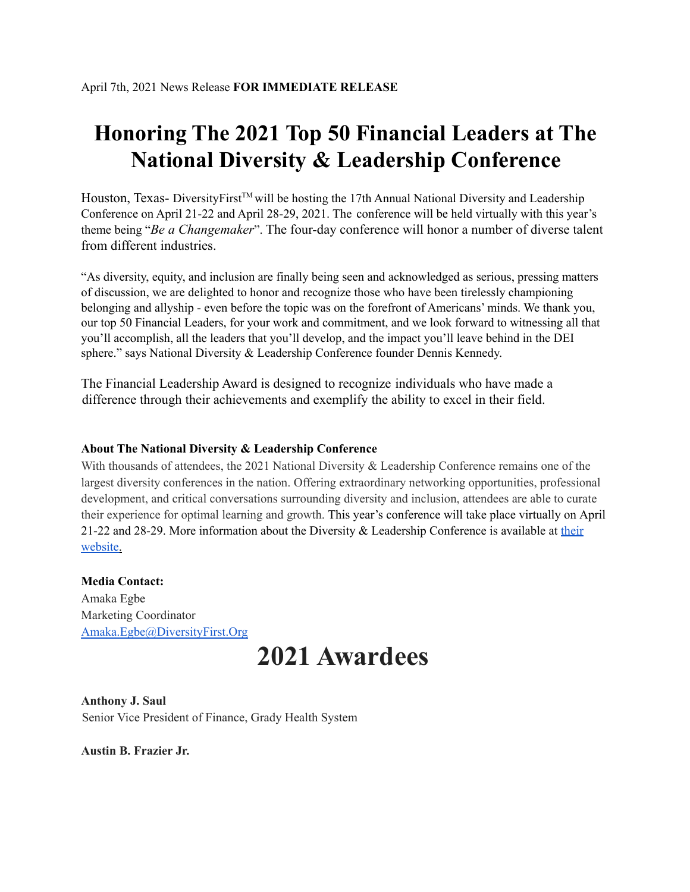## **Honoring The 2021 Top 50 Financial Leaders at The National Diversity & Leadership Conference**

Houston, Texas- DiversityFirst™ will be hosting the 17th Annual National Diversity and Leadership Conference on April 21-22 and April 28-29, 2021. The conference will be held virtually with this year's theme being "*Be a Changemaker*". The four-day conference will honor a number of diverse talent from different industries.

"As diversity, equity, and inclusion are finally being seen and acknowledged as serious, pressing matters of discussion, we are delighted to honor and recognize those who have been tirelessly championing belonging and allyship - even before the topic was on the forefront of Americans' minds. We thank you, our top 50 Financial Leaders, for your work and commitment, and we look forward to witnessing all that you'll accomplish, all the leaders that you'll develop, and the impact you'll leave behind in the DEI sphere." says National Diversity & Leadership Conference founder Dennis Kennedy.

The Financial Leadership Award is designed to recognize individuals who have made a difference through their achievements and exemplify the ability to excel in their field.

## **About The National Diversity & Leadership Conference**

With thousands of attendees, the 2021 National Diversity & Leadership Conference remains one of the largest diversity conferences in the nation. Offering extraordinary networking opportunities, professional development, and critical conversations surrounding diversity and inclusion, attendees are able to curate their experience for optimal learning and growth. This year's conference will take place virtually on April 21-22 and 28-29. More information about the Diversity & Leadership Conference is available at their website.

## **Media Contact:**

Amaka Egbe Marketing Coordinator Amaka.Egbe@DiversityFirst.Org

## **2021 Awardees**

**Anthony J. Saul** Senior Vice President of Finance, Grady Health System

**Austin B. Frazier Jr.**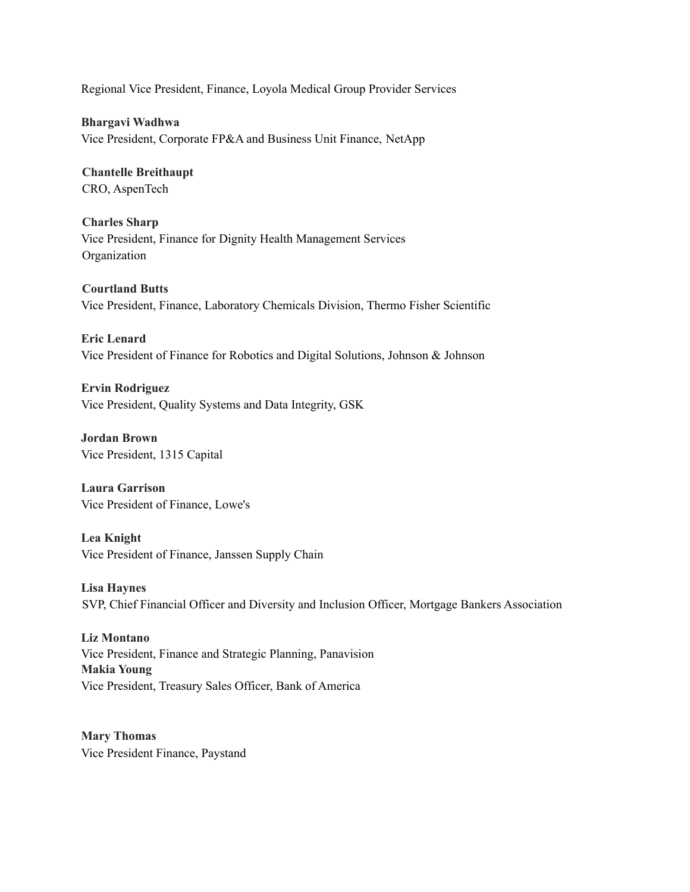Regional Vice President, Finance, Loyola Medical Group Provider Services

**Bhargavi Wadhwa** Vice President, Corporate FP&A and Business Unit Finance, NetApp

**Chantelle Breithaupt** CRO, AspenTech

**Charles Sharp** Vice President, Finance for Dignity Health Management Services Organization

**Courtland Butts** Vice President, Finance, Laboratory Chemicals Division, Thermo Fisher Scientific

**Eric Lenard** Vice President of Finance for Robotics and Digital Solutions, Johnson & Johnson

**Ervin Rodriguez** Vice President, Quality Systems and Data Integrity, GSK

**Jordan Brown** Vice President, 1315 Capital

**Laura Garrison** Vice President of Finance, Lowe's

**Lea Knight** Vice President of Finance, Janssen Supply Chain

**Lisa Haynes** SVP, Chief Financial Officer and Diversity and Inclusion Officer, Mortgage Bankers Association

**Liz Montano** Vice President, Finance and Strategic Planning, Panavision **Makia Young** Vice President, Treasury Sales Officer, Bank of America

**Mary Thomas** Vice President Finance, Paystand